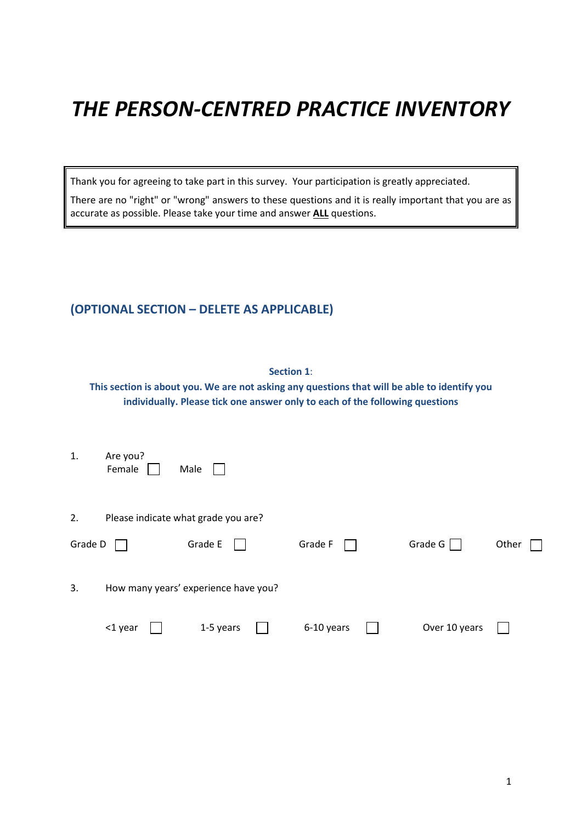# *THE PERSON-CENTRED PRACTICE INVENTORY*

Thank you for agreeing to take part in this survey. Your participation is greatly appreciated.

There are no "right" or "wrong" answers to these questions and it is really important that you are as accurate as possible. Please take your time and answer **ALL** questions.

## **(OPTIONAL SECTION – DELETE AS APPLICABLE)**

| <b>Section 1:</b><br>This section is about you. We are not asking any questions that will be able to identify you<br>individually. Please tick one answer only to each of the following questions |                    |  |                                      |  |            |  |               |       |  |
|---------------------------------------------------------------------------------------------------------------------------------------------------------------------------------------------------|--------------------|--|--------------------------------------|--|------------|--|---------------|-------|--|
| 1.                                                                                                                                                                                                | Are you?<br>Female |  | Male                                 |  |            |  |               |       |  |
| 2.                                                                                                                                                                                                |                    |  | Please indicate what grade you are?  |  |            |  |               |       |  |
| Grade D                                                                                                                                                                                           |                    |  | Grade E                              |  | Grade F    |  | Grade G       | Other |  |
| 3.                                                                                                                                                                                                |                    |  | How many years' experience have you? |  |            |  |               |       |  |
|                                                                                                                                                                                                   | <1 year            |  | 1-5 years                            |  | 6-10 years |  | Over 10 years |       |  |
|                                                                                                                                                                                                   |                    |  |                                      |  |            |  |               |       |  |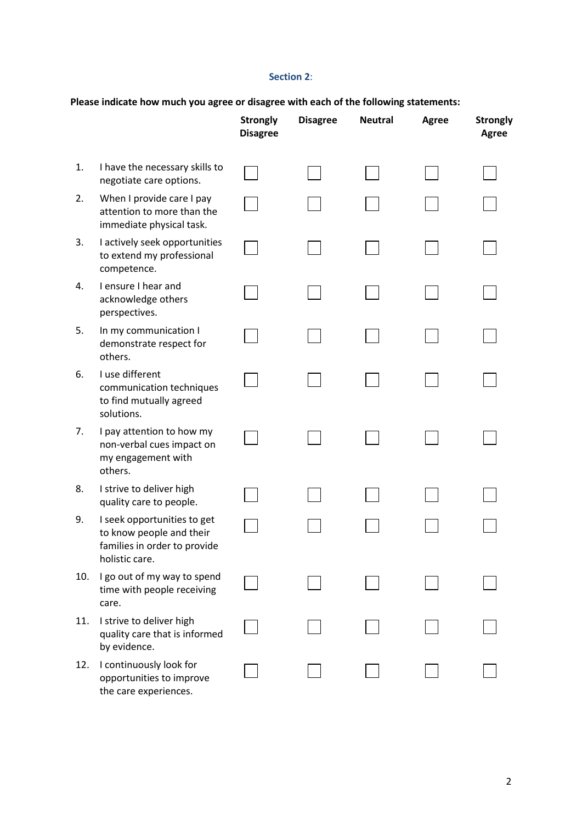#### **Section 2**:

|     |                                                                                                           | <b>Strongly</b><br><b>Disagree</b> | <b>Disagree</b> | <b>Neutral</b> | <b>Agree</b> | <b>Strongly</b><br><b>Agree</b> |
|-----|-----------------------------------------------------------------------------------------------------------|------------------------------------|-----------------|----------------|--------------|---------------------------------|
| 1.  | I have the necessary skills to<br>negotiate care options.                                                 |                                    |                 |                |              |                                 |
| 2.  | When I provide care I pay<br>attention to more than the<br>immediate physical task.                       |                                    |                 |                |              |                                 |
| 3.  | I actively seek opportunities<br>to extend my professional<br>competence.                                 |                                    |                 |                |              |                                 |
| 4.  | I ensure I hear and<br>acknowledge others<br>perspectives.                                                |                                    |                 |                |              |                                 |
| 5.  | In my communication I<br>demonstrate respect for<br>others.                                               |                                    |                 |                |              |                                 |
| 6.  | I use different<br>communication techniques<br>to find mutually agreed<br>solutions.                      |                                    |                 |                |              |                                 |
| 7.  | I pay attention to how my<br>non-verbal cues impact on<br>my engagement with<br>others.                   |                                    |                 |                |              |                                 |
| 8.  | I strive to deliver high<br>quality care to people.                                                       |                                    |                 |                |              |                                 |
| 9.  | I seek opportunities to get<br>to know people and their<br>families in order to provide<br>holistic care. |                                    |                 |                |              |                                 |
| 10. | I go out of my way to spend<br>time with people receiving<br>care.                                        |                                    |                 |                |              |                                 |
| 11. | I strive to deliver high<br>quality care that is informed<br>by evidence.                                 |                                    |                 |                |              |                                 |
| 12. | I continuously look for<br>opportunities to improve<br>the care experiences.                              |                                    |                 |                |              |                                 |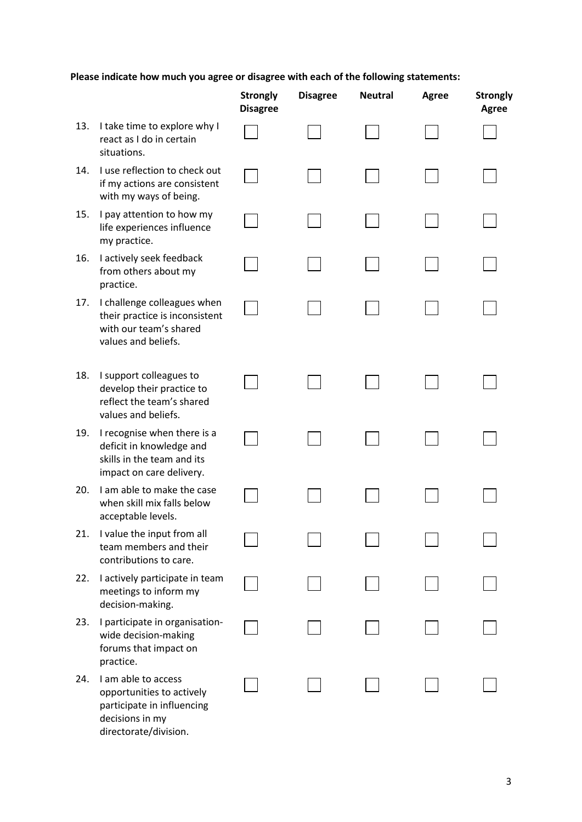|     |                                                                                                                            | <b>Strongly</b><br><b>Disagree</b> | <b>Disagree</b> | <b>Neutral</b> | <b>Agree</b> | <b>Strongly</b><br>Agree |
|-----|----------------------------------------------------------------------------------------------------------------------------|------------------------------------|-----------------|----------------|--------------|--------------------------|
| 13. | I take time to explore why I<br>react as I do in certain<br>situations.                                                    |                                    |                 |                |              |                          |
| 14. | I use reflection to check out<br>if my actions are consistent<br>with my ways of being.                                    |                                    |                 |                |              |                          |
| 15. | I pay attention to how my<br>life experiences influence<br>my practice.                                                    |                                    |                 |                |              |                          |
| 16. | I actively seek feedback<br>from others about my<br>practice.                                                              |                                    |                 |                |              |                          |
| 17. | I challenge colleagues when<br>their practice is inconsistent<br>with our team's shared<br>values and beliefs.             |                                    |                 |                |              |                          |
| 18. | I support colleagues to<br>develop their practice to<br>reflect the team's shared<br>values and beliefs.                   |                                    |                 |                |              |                          |
| 19. | I recognise when there is a<br>deficit in knowledge and<br>skills in the team and its<br>impact on care delivery.          |                                    |                 |                |              |                          |
| 20. | I am able to make the case<br>when skill mix falls below<br>acceptable levels.                                             |                                    |                 |                |              |                          |
| 21. | I value the input from all<br>team members and their<br>contributions to care.                                             |                                    |                 |                |              |                          |
| 22. | I actively participate in team<br>meetings to inform my<br>decision-making.                                                |                                    |                 |                |              |                          |
| 23. | I participate in organisation-<br>wide decision-making<br>forums that impact on<br>practice.                               |                                    |                 |                |              |                          |
| 24. | I am able to access<br>opportunities to actively<br>participate in influencing<br>decisions in my<br>directorate/division. |                                    |                 |                |              |                          |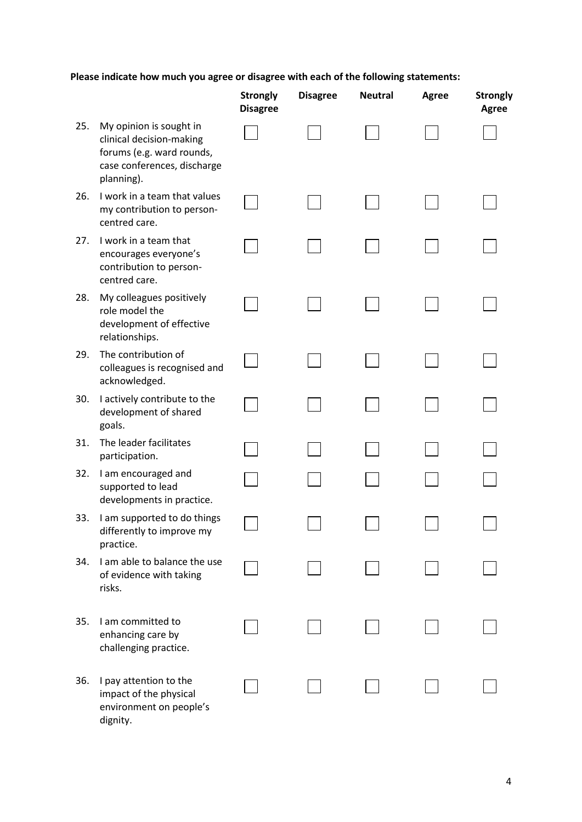|     |                                                                                                                               | <b>Strongly</b><br><b>Disagree</b> | <b>Disagree</b> | <b>Neutral</b> | <b>Agree</b> | <b>Strongly</b><br>Agree |
|-----|-------------------------------------------------------------------------------------------------------------------------------|------------------------------------|-----------------|----------------|--------------|--------------------------|
| 25. | My opinion is sought in<br>clinical decision-making<br>forums (e.g. ward rounds,<br>case conferences, discharge<br>planning). |                                    |                 |                |              |                          |
| 26. | I work in a team that values<br>my contribution to person-<br>centred care.                                                   |                                    |                 |                |              |                          |
| 27. | I work in a team that<br>encourages everyone's<br>contribution to person-<br>centred care.                                    |                                    |                 |                |              |                          |
| 28. | My colleagues positively<br>role model the<br>development of effective<br>relationships.                                      |                                    |                 |                |              |                          |
| 29. | The contribution of<br>colleagues is recognised and<br>acknowledged.                                                          |                                    |                 |                |              |                          |
| 30. | I actively contribute to the<br>development of shared<br>goals.                                                               |                                    |                 |                |              |                          |
| 31. | The leader facilitates<br>participation.                                                                                      |                                    |                 |                |              |                          |
| 32. | I am encouraged and<br>supported to lead<br>developments in practice.                                                         |                                    |                 |                |              |                          |
| 33. | I am supported to do things<br>differently to improve my<br>practice.                                                         |                                    |                 |                |              |                          |
| 34. | I am able to balance the use<br>of evidence with taking<br>risks.                                                             |                                    |                 |                |              |                          |
| 35. | I am committed to<br>enhancing care by<br>challenging practice.                                                               |                                    |                 |                |              |                          |
| 36. | I pay attention to the<br>impact of the physical<br>environment on people's<br>dignity.                                       |                                    |                 |                |              |                          |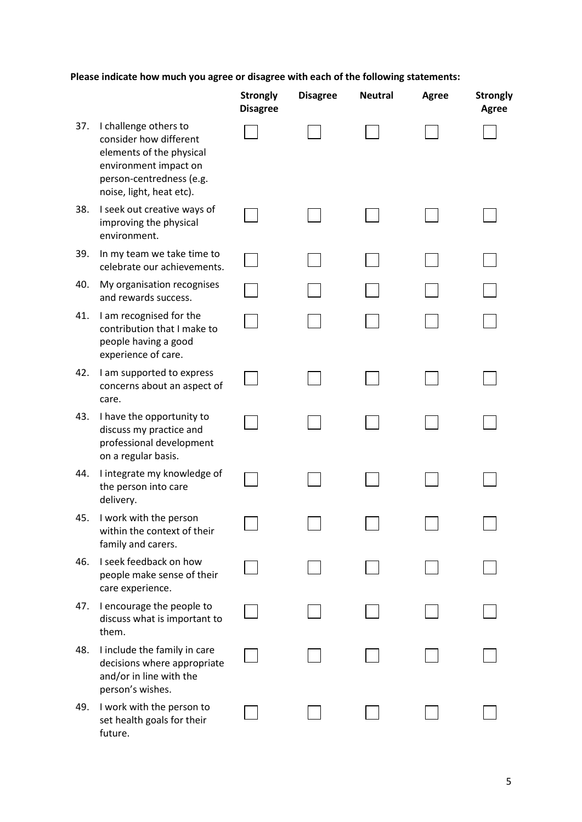|     |                                                                                                                                                              | <b>Strongly</b><br><b>Disagree</b> | <b>Disagree</b> | <b>Neutral</b> | <b>Agree</b> | <b>Strongly</b><br>Agree |
|-----|--------------------------------------------------------------------------------------------------------------------------------------------------------------|------------------------------------|-----------------|----------------|--------------|--------------------------|
| 37. | I challenge others to<br>consider how different<br>elements of the physical<br>environment impact on<br>person-centredness (e.g.<br>noise, light, heat etc). |                                    |                 |                |              |                          |
| 38. | I seek out creative ways of<br>improving the physical<br>environment.                                                                                        |                                    |                 |                |              |                          |
| 39. | In my team we take time to<br>celebrate our achievements.                                                                                                    |                                    |                 |                |              |                          |
| 40. | My organisation recognises<br>and rewards success.                                                                                                           |                                    |                 |                |              |                          |
| 41. | I am recognised for the<br>contribution that I make to<br>people having a good<br>experience of care.                                                        |                                    |                 |                |              |                          |
| 42. | I am supported to express<br>concerns about an aspect of<br>care.                                                                                            |                                    |                 |                |              |                          |
| 43. | I have the opportunity to<br>discuss my practice and<br>professional development<br>on a regular basis.                                                      |                                    |                 |                |              |                          |
| 44. | I integrate my knowledge of<br>the person into care<br>delivery.                                                                                             |                                    |                 |                |              |                          |
| 45. | I work with the person<br>within the context of their<br>family and carers.                                                                                  |                                    |                 |                |              |                          |
| 46. | I seek feedback on how<br>people make sense of their<br>care experience.                                                                                     |                                    |                 |                |              |                          |
| 47. | I encourage the people to<br>discuss what is important to<br>them.                                                                                           |                                    |                 |                |              |                          |
| 48. | I include the family in care<br>decisions where appropriate<br>and/or in line with the<br>person's wishes.                                                   |                                    |                 |                |              |                          |
| 49. | I work with the person to<br>set health goals for their<br>future.                                                                                           |                                    |                 |                |              |                          |